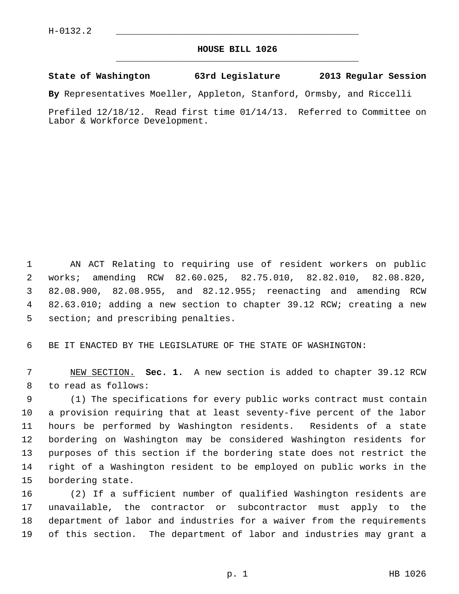## **HOUSE BILL 1026** \_\_\_\_\_\_\_\_\_\_\_\_\_\_\_\_\_\_\_\_\_\_\_\_\_\_\_\_\_\_\_\_\_\_\_\_\_\_\_\_\_\_\_\_\_

## **State of Washington 63rd Legislature 2013 Regular Session**

**By** Representatives Moeller, Appleton, Stanford, Ormsby, and Riccelli

Prefiled 12/18/12. Read first time 01/14/13. Referred to Committee on Labor & Workforce Development.

 1 AN ACT Relating to requiring use of resident workers on public 2 works; amending RCW 82.60.025, 82.75.010, 82.82.010, 82.08.820, 3 82.08.900, 82.08.955, and 82.12.955; reenacting and amending RCW 4 82.63.010; adding a new section to chapter 39.12 RCW; creating a new 5 section; and prescribing penalties.

6 BE IT ENACTED BY THE LEGISLATURE OF THE STATE OF WASHINGTON:

 7 NEW SECTION. **Sec. 1.** A new section is added to chapter 39.12 RCW 8 to read as follows:

 9 (1) The specifications for every public works contract must contain 10 a provision requiring that at least seventy-five percent of the labor 11 hours be performed by Washington residents. Residents of a state 12 bordering on Washington may be considered Washington residents for 13 purposes of this section if the bordering state does not restrict the 14 right of a Washington resident to be employed on public works in the 15 bordering state.

16 (2) If a sufficient number of qualified Washington residents are 17 unavailable, the contractor or subcontractor must apply to the 18 department of labor and industries for a waiver from the requirements 19 of this section. The department of labor and industries may grant a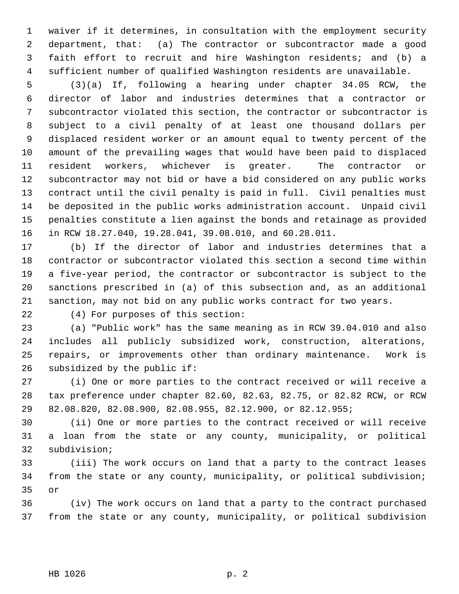1 waiver if it determines, in consultation with the employment security 2 department, that: (a) The contractor or subcontractor made a good 3 faith effort to recruit and hire Washington residents; and (b) a 4 sufficient number of qualified Washington residents are unavailable.

 5 (3)(a) If, following a hearing under chapter 34.05 RCW, the 6 director of labor and industries determines that a contractor or 7 subcontractor violated this section, the contractor or subcontractor is 8 subject to a civil penalty of at least one thousand dollars per 9 displaced resident worker or an amount equal to twenty percent of the 10 amount of the prevailing wages that would have been paid to displaced 11 resident workers, whichever is greater. The contractor or 12 subcontractor may not bid or have a bid considered on any public works 13 contract until the civil penalty is paid in full. Civil penalties must 14 be deposited in the public works administration account. Unpaid civil 15 penalties constitute a lien against the bonds and retainage as provided 16 in RCW 18.27.040, 19.28.041, 39.08.010, and 60.28.011.

17 (b) If the director of labor and industries determines that a 18 contractor or subcontractor violated this section a second time within 19 a five-year period, the contractor or subcontractor is subject to the 20 sanctions prescribed in (a) of this subsection and, as an additional 21 sanction, may not bid on any public works contract for two years.

22 (4) For purposes of this section:

23 (a) "Public work" has the same meaning as in RCW 39.04.010 and also 24 includes all publicly subsidized work, construction, alterations, 25 repairs, or improvements other than ordinary maintenance. Work is 26 subsidized by the public if:

27 (i) One or more parties to the contract received or will receive a 28 tax preference under chapter 82.60, 82.63, 82.75, or 82.82 RCW, or RCW 29 82.08.820, 82.08.900, 82.08.955, 82.12.900, or 82.12.955;

30 (ii) One or more parties to the contract received or will receive 31 a loan from the state or any county, municipality, or political 32 subdivision;

33 (iii) The work occurs on land that a party to the contract leases 34 from the state or any county, municipality, or political subdivision; 35 or

36 (iv) The work occurs on land that a party to the contract purchased 37 from the state or any county, municipality, or political subdivision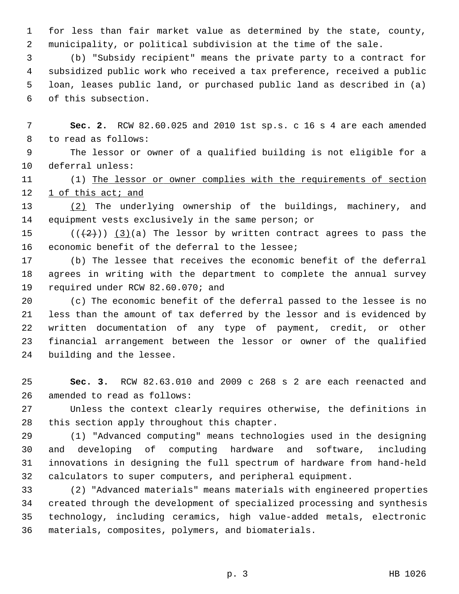1 for less than fair market value as determined by the state, county, 2 municipality, or political subdivision at the time of the sale.

 3 (b) "Subsidy recipient" means the private party to a contract for 4 subsidized public work who received a tax preference, received a public 5 loan, leases public land, or purchased public land as described in (a) 6 of this subsection.

 7 **Sec. 2.** RCW 82.60.025 and 2010 1st sp.s. c 16 s 4 are each amended 8 to read as follows:

 9 The lessor or owner of a qualified building is not eligible for a 10 deferral unless:

11 (1) The lessor or owner complies with the requirements of section 12 1 of this act; and

13 (2) The underlying ownership of the buildings, machinery, and 14 equipment vests exclusively in the same person; or

15 ( $(\frac{1}{2})$ ) (3)(a) The lessor by written contract agrees to pass the 16 economic benefit of the deferral to the lessee;

17 (b) The lessee that receives the economic benefit of the deferral 18 agrees in writing with the department to complete the annual survey 19 required under RCW 82.60.070; and

20 (c) The economic benefit of the deferral passed to the lessee is no 21 less than the amount of tax deferred by the lessor and is evidenced by 22 written documentation of any type of payment, credit, or other 23 financial arrangement between the lessor or owner of the qualified 24 building and the lessee.

25 **Sec. 3.** RCW 82.63.010 and 2009 c 268 s 2 are each reenacted and 26 amended to read as follows:

27 Unless the context clearly requires otherwise, the definitions in 28 this section apply throughout this chapter.

29 (1) "Advanced computing" means technologies used in the designing 30 and developing of computing hardware and software, including 31 innovations in designing the full spectrum of hardware from hand-held 32 calculators to super computers, and peripheral equipment.

33 (2) "Advanced materials" means materials with engineered properties 34 created through the development of specialized processing and synthesis 35 technology, including ceramics, high value-added metals, electronic 36 materials, composites, polymers, and biomaterials.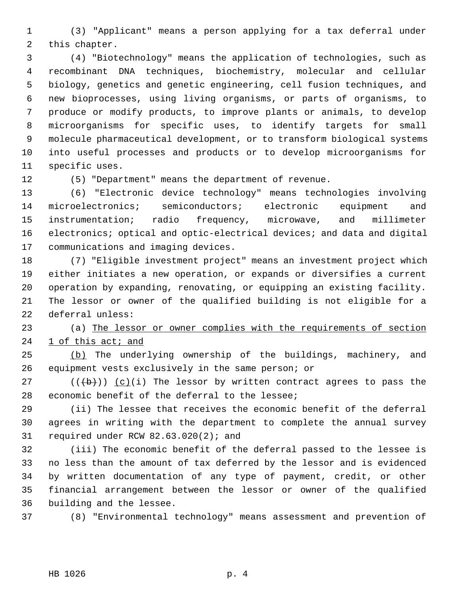1 (3) "Applicant" means a person applying for a tax deferral under 2 this chapter.

 3 (4) "Biotechnology" means the application of technologies, such as 4 recombinant DNA techniques, biochemistry, molecular and cellular 5 biology, genetics and genetic engineering, cell fusion techniques, and 6 new bioprocesses, using living organisms, or parts of organisms, to 7 produce or modify products, to improve plants or animals, to develop 8 microorganisms for specific uses, to identify targets for small 9 molecule pharmaceutical development, or to transform biological systems 10 into useful processes and products or to develop microorganisms for 11 specific uses.

12 (5) "Department" means the department of revenue.

13 (6) "Electronic device technology" means technologies involving 14 microelectronics; semiconductors; electronic equipment and 15 instrumentation; radio frequency, microwave, and millimeter 16 electronics; optical and optic-electrical devices; and data and digital 17 communications and imaging devices.

18 (7) "Eligible investment project" means an investment project which 19 either initiates a new operation, or expands or diversifies a current 20 operation by expanding, renovating, or equipping an existing facility. 21 The lessor or owner of the qualified building is not eligible for a 22 deferral unless:

23 (a) The lessor or owner complies with the requirements of section 24 1 of this act; and

25 (b) The underlying ownership of the buildings, machinery, and 26 equipment vests exclusively in the same person; or

27 ( $(\overline{a})$ ) (c)(i) The lessor by written contract agrees to pass the 28 economic benefit of the deferral to the lessee;

29 (ii) The lessee that receives the economic benefit of the deferral 30 agrees in writing with the department to complete the annual survey 31 required under RCW 82.63.020(2); and

32 (iii) The economic benefit of the deferral passed to the lessee is 33 no less than the amount of tax deferred by the lessor and is evidenced 34 by written documentation of any type of payment, credit, or other 35 financial arrangement between the lessor or owner of the qualified 36 building and the lessee.

37 (8) "Environmental technology" means assessment and prevention of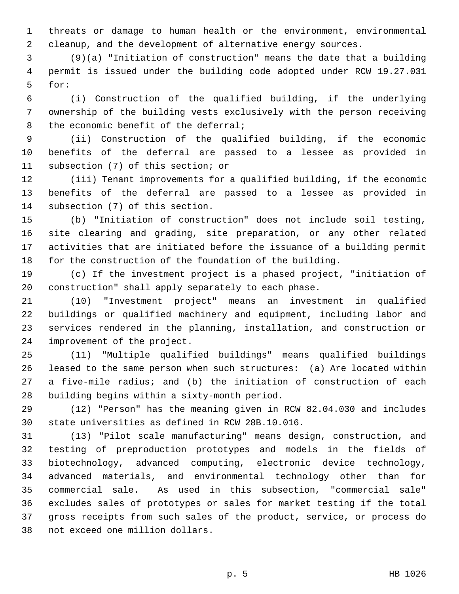1 threats or damage to human health or the environment, environmental 2 cleanup, and the development of alternative energy sources.

 3 (9)(a) "Initiation of construction" means the date that a building 4 permit is issued under the building code adopted under RCW 19.27.031 5 for:

 6 (i) Construction of the qualified building, if the underlying 7 ownership of the building vests exclusively with the person receiving 8 the economic benefit of the deferral;

 9 (ii) Construction of the qualified building, if the economic 10 benefits of the deferral are passed to a lessee as provided in 11 subsection (7) of this section; or

12 (iii) Tenant improvements for a qualified building, if the economic 13 benefits of the deferral are passed to a lessee as provided in 14 subsection (7) of this section.

15 (b) "Initiation of construction" does not include soil testing, 16 site clearing and grading, site preparation, or any other related 17 activities that are initiated before the issuance of a building permit 18 for the construction of the foundation of the building.

19 (c) If the investment project is a phased project, "initiation of 20 construction" shall apply separately to each phase.

21 (10) "Investment project" means an investment in qualified 22 buildings or qualified machinery and equipment, including labor and 23 services rendered in the planning, installation, and construction or 24 improvement of the project.

25 (11) "Multiple qualified buildings" means qualified buildings 26 leased to the same person when such structures: (a) Are located within 27 a five-mile radius; and (b) the initiation of construction of each 28 building begins within a sixty-month period.

29 (12) "Person" has the meaning given in RCW 82.04.030 and includes 30 state universities as defined in RCW 28B.10.016.

31 (13) "Pilot scale manufacturing" means design, construction, and 32 testing of preproduction prototypes and models in the fields of 33 biotechnology, advanced computing, electronic device technology, 34 advanced materials, and environmental technology other than for 35 commercial sale. As used in this subsection, "commercial sale" 36 excludes sales of prototypes or sales for market testing if the total 37 gross receipts from such sales of the product, service, or process do 38 not exceed one million dollars.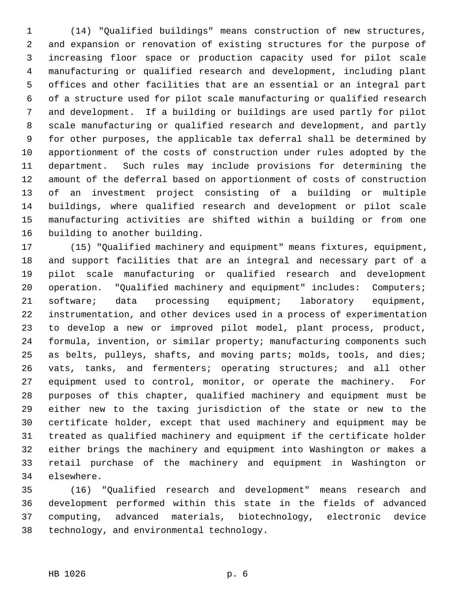1 (14) "Qualified buildings" means construction of new structures, 2 and expansion or renovation of existing structures for the purpose of 3 increasing floor space or production capacity used for pilot scale 4 manufacturing or qualified research and development, including plant 5 offices and other facilities that are an essential or an integral part 6 of a structure used for pilot scale manufacturing or qualified research 7 and development. If a building or buildings are used partly for pilot 8 scale manufacturing or qualified research and development, and partly 9 for other purposes, the applicable tax deferral shall be determined by 10 apportionment of the costs of construction under rules adopted by the 11 department. Such rules may include provisions for determining the 12 amount of the deferral based on apportionment of costs of construction 13 of an investment project consisting of a building or multiple 14 buildings, where qualified research and development or pilot scale 15 manufacturing activities are shifted within a building or from one 16 building to another building.

17 (15) "Qualified machinery and equipment" means fixtures, equipment, 18 and support facilities that are an integral and necessary part of a 19 pilot scale manufacturing or qualified research and development 20 operation. "Qualified machinery and equipment" includes: Computers; 21 software; data processing equipment; laboratory equipment, 22 instrumentation, and other devices used in a process of experimentation 23 to develop a new or improved pilot model, plant process, product, 24 formula, invention, or similar property; manufacturing components such 25 as belts, pulleys, shafts, and moving parts; molds, tools, and dies; 26 vats, tanks, and fermenters; operating structures; and all other 27 equipment used to control, monitor, or operate the machinery. For 28 purposes of this chapter, qualified machinery and equipment must be 29 either new to the taxing jurisdiction of the state or new to the 30 certificate holder, except that used machinery and equipment may be 31 treated as qualified machinery and equipment if the certificate holder 32 either brings the machinery and equipment into Washington or makes a 33 retail purchase of the machinery and equipment in Washington or 34 elsewhere.

35 (16) "Qualified research and development" means research and 36 development performed within this state in the fields of advanced 37 computing, advanced materials, biotechnology, electronic device 38 technology, and environmental technology.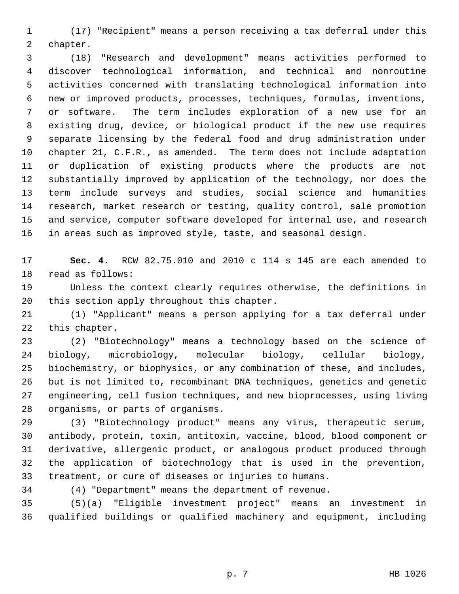1 (17) "Recipient" means a person receiving a tax deferral under this 2 chapter.

 3 (18) "Research and development" means activities performed to 4 discover technological information, and technical and nonroutine 5 activities concerned with translating technological information into 6 new or improved products, processes, techniques, formulas, inventions, 7 or software. The term includes exploration of a new use for an 8 existing drug, device, or biological product if the new use requires 9 separate licensing by the federal food and drug administration under 10 chapter 21, C.F.R., as amended. The term does not include adaptation 11 or duplication of existing products where the products are not 12 substantially improved by application of the technology, nor does the 13 term include surveys and studies, social science and humanities 14 research, market research or testing, quality control, sale promotion 15 and service, computer software developed for internal use, and research 16 in areas such as improved style, taste, and seasonal design.

17 **Sec. 4.** RCW 82.75.010 and 2010 c 114 s 145 are each amended to 18 read as follows:

19 Unless the context clearly requires otherwise, the definitions in 20 this section apply throughout this chapter.

21 (1) "Applicant" means a person applying for a tax deferral under 22 this chapter.

23 (2) "Biotechnology" means a technology based on the science of 24 biology, microbiology, molecular biology, cellular biology, 25 biochemistry, or biophysics, or any combination of these, and includes, 26 but is not limited to, recombinant DNA techniques, genetics and genetic 27 engineering, cell fusion techniques, and new bioprocesses, using living 28 organisms, or parts of organisms.

29 (3) "Biotechnology product" means any virus, therapeutic serum, 30 antibody, protein, toxin, antitoxin, vaccine, blood, blood component or 31 derivative, allergenic product, or analogous product produced through 32 the application of biotechnology that is used in the prevention, 33 treatment, or cure of diseases or injuries to humans.

34 (4) "Department" means the department of revenue.

35 (5)(a) "Eligible investment project" means an investment in 36 qualified buildings or qualified machinery and equipment, including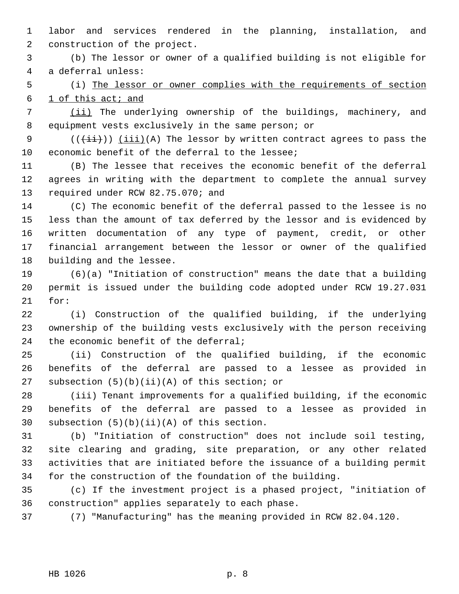1 labor and services rendered in the planning, installation, and 2 construction of the project.

 3 (b) The lessor or owner of a qualified building is not eligible for 4 a deferral unless:

 5 (i) The lessor or owner complies with the requirements of section 6 1 of this act; and

 7 (ii) The underlying ownership of the buildings, machinery, and 8 equipment vests exclusively in the same person; or

9  $((\overrightarrow{\pm i}))$  (iii)(A) The lessor by written contract agrees to pass the 10 economic benefit of the deferral to the lessee;

11 (B) The lessee that receives the economic benefit of the deferral 12 agrees in writing with the department to complete the annual survey 13 required under RCW 82.75.070; and

14 (C) The economic benefit of the deferral passed to the lessee is no 15 less than the amount of tax deferred by the lessor and is evidenced by 16 written documentation of any type of payment, credit, or other 17 financial arrangement between the lessor or owner of the qualified 18 building and the lessee.

19 (6)(a) "Initiation of construction" means the date that a building 20 permit is issued under the building code adopted under RCW 19.27.031 21 for:

22 (i) Construction of the qualified building, if the underlying 23 ownership of the building vests exclusively with the person receiving 24 the economic benefit of the deferral;

25 (ii) Construction of the qualified building, if the economic 26 benefits of the deferral are passed to a lessee as provided in 27 subsection (5)(b)(ii)(A) of this section; or

28 (iii) Tenant improvements for a qualified building, if the economic 29 benefits of the deferral are passed to a lessee as provided in 30 subsection (5)(b)(ii)(A) of this section.

31 (b) "Initiation of construction" does not include soil testing, 32 site clearing and grading, site preparation, or any other related 33 activities that are initiated before the issuance of a building permit 34 for the construction of the foundation of the building.

35 (c) If the investment project is a phased project, "initiation of 36 construction" applies separately to each phase.

37 (7) "Manufacturing" has the meaning provided in RCW 82.04.120.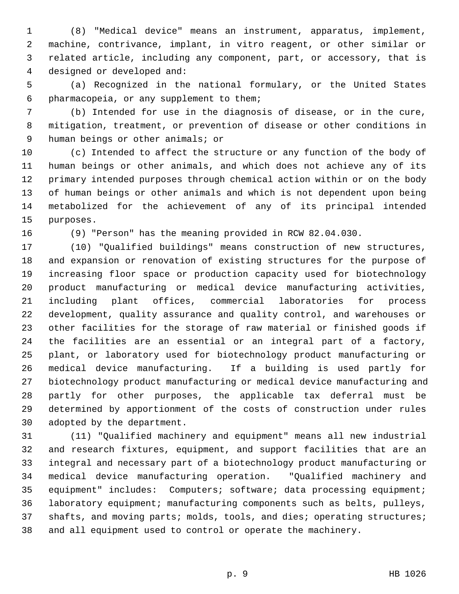1 (8) "Medical device" means an instrument, apparatus, implement, 2 machine, contrivance, implant, in vitro reagent, or other similar or 3 related article, including any component, part, or accessory, that is 4 designed or developed and:

 5 (a) Recognized in the national formulary, or the United States 6 pharmacopeia, or any supplement to them;

 7 (b) Intended for use in the diagnosis of disease, or in the cure, 8 mitigation, treatment, or prevention of disease or other conditions in 9 human beings or other animals; or

10 (c) Intended to affect the structure or any function of the body of 11 human beings or other animals, and which does not achieve any of its 12 primary intended purposes through chemical action within or on the body 13 of human beings or other animals and which is not dependent upon being 14 metabolized for the achievement of any of its principal intended 15 purposes.

16 (9) "Person" has the meaning provided in RCW 82.04.030.

17 (10) "Qualified buildings" means construction of new structures, 18 and expansion or renovation of existing structures for the purpose of 19 increasing floor space or production capacity used for biotechnology 20 product manufacturing or medical device manufacturing activities, 21 including plant offices, commercial laboratories for process 22 development, quality assurance and quality control, and warehouses or 23 other facilities for the storage of raw material or finished goods if 24 the facilities are an essential or an integral part of a factory, 25 plant, or laboratory used for biotechnology product manufacturing or 26 medical device manufacturing. If a building is used partly for 27 biotechnology product manufacturing or medical device manufacturing and 28 partly for other purposes, the applicable tax deferral must be 29 determined by apportionment of the costs of construction under rules 30 adopted by the department.

31 (11) "Qualified machinery and equipment" means all new industrial 32 and research fixtures, equipment, and support facilities that are an 33 integral and necessary part of a biotechnology product manufacturing or 34 medical device manufacturing operation. "Qualified machinery and 35 equipment" includes: Computers; software; data processing equipment; 36 laboratory equipment; manufacturing components such as belts, pulleys, 37 shafts, and moving parts; molds, tools, and dies; operating structures; 38 and all equipment used to control or operate the machinery.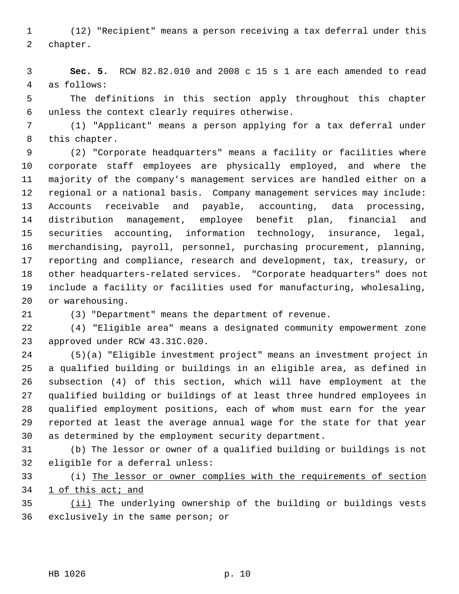1 (12) "Recipient" means a person receiving a tax deferral under this 2 chapter.

 3 **Sec. 5.** RCW 82.82.010 and 2008 c 15 s 1 are each amended to read 4 as follows:

 5 The definitions in this section apply throughout this chapter 6 unless the context clearly requires otherwise.

 7 (1) "Applicant" means a person applying for a tax deferral under 8 this chapter.

 9 (2) "Corporate headquarters" means a facility or facilities where 10 corporate staff employees are physically employed, and where the 11 majority of the company's management services are handled either on a 12 regional or a national basis. Company management services may include: 13 Accounts receivable and payable, accounting, data processing, 14 distribution management, employee benefit plan, financial and 15 securities accounting, information technology, insurance, legal, 16 merchandising, payroll, personnel, purchasing procurement, planning, 17 reporting and compliance, research and development, tax, treasury, or 18 other headquarters-related services. "Corporate headquarters" does not 19 include a facility or facilities used for manufacturing, wholesaling, 20 or warehousing.

21 (3) "Department" means the department of revenue.

22 (4) "Eligible area" means a designated community empowerment zone 23 approved under RCW 43.31C.020.

24 (5)(a) "Eligible investment project" means an investment project in 25 a qualified building or buildings in an eligible area, as defined in 26 subsection (4) of this section, which will have employment at the 27 qualified building or buildings of at least three hundred employees in 28 qualified employment positions, each of whom must earn for the year 29 reported at least the average annual wage for the state for that year 30 as determined by the employment security department.

31 (b) The lessor or owner of a qualified building or buildings is not 32 eligible for a deferral unless:

33 (i) The lessor or owner complies with the requirements of section 34 1 of this act; and

35 (ii) The underlying ownership of the building or buildings vests 36 exclusively in the same person; or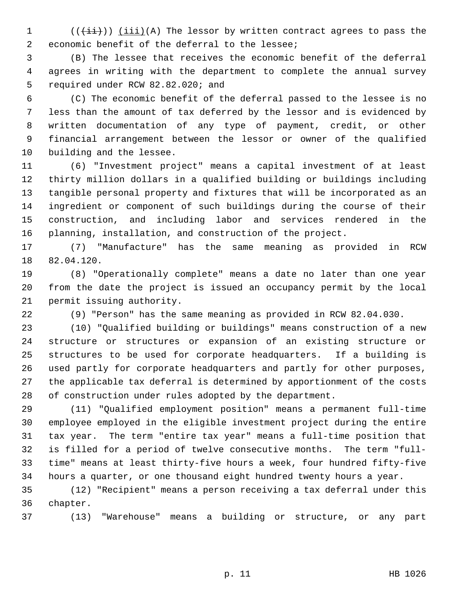1  $((\overrightarrow{\pm i}))$  (iii)(A) The lessor by written contract agrees to pass the 2 economic benefit of the deferral to the lessee;

 3 (B) The lessee that receives the economic benefit of the deferral 4 agrees in writing with the department to complete the annual survey 5 required under RCW 82.82.020; and

 6 (C) The economic benefit of the deferral passed to the lessee is no 7 less than the amount of tax deferred by the lessor and is evidenced by 8 written documentation of any type of payment, credit, or other 9 financial arrangement between the lessor or owner of the qualified 10 building and the lessee.

11 (6) "Investment project" means a capital investment of at least 12 thirty million dollars in a qualified building or buildings including 13 tangible personal property and fixtures that will be incorporated as an 14 ingredient or component of such buildings during the course of their 15 construction, and including labor and services rendered in the 16 planning, installation, and construction of the project.

17 (7) "Manufacture" has the same meaning as provided in RCW 18 82.04.120.

19 (8) "Operationally complete" means a date no later than one year 20 from the date the project is issued an occupancy permit by the local 21 permit issuing authority.

22 (9) "Person" has the same meaning as provided in RCW 82.04.030.

23 (10) "Qualified building or buildings" means construction of a new 24 structure or structures or expansion of an existing structure or 25 structures to be used for corporate headquarters. If a building is 26 used partly for corporate headquarters and partly for other purposes, 27 the applicable tax deferral is determined by apportionment of the costs 28 of construction under rules adopted by the department.

29 (11) "Qualified employment position" means a permanent full-time 30 employee employed in the eligible investment project during the entire 31 tax year. The term "entire tax year" means a full-time position that 32 is filled for a period of twelve consecutive months. The term "full-33 time" means at least thirty-five hours a week, four hundred fifty-five 34 hours a quarter, or one thousand eight hundred twenty hours a year.

35 (12) "Recipient" means a person receiving a tax deferral under this 36 chapter.

37 (13) "Warehouse" means a building or structure, or any part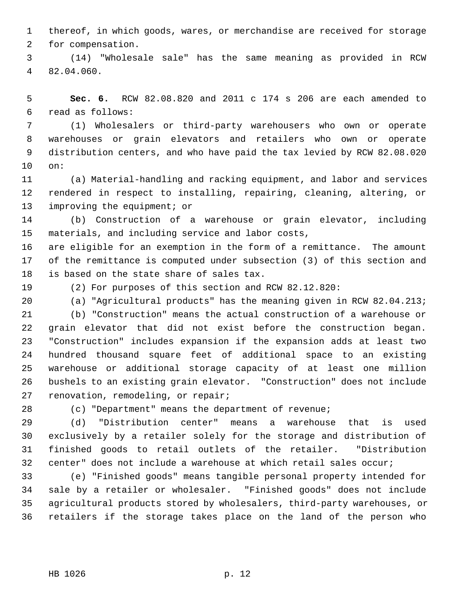1 thereof, in which goods, wares, or merchandise are received for storage 2 for compensation.

 3 (14) "Wholesale sale" has the same meaning as provided in RCW 4 82.04.060.

 5 **Sec. 6.** RCW 82.08.820 and 2011 c 174 s 206 are each amended to 6 read as follows:

 7 (1) Wholesalers or third-party warehousers who own or operate 8 warehouses or grain elevators and retailers who own or operate 9 distribution centers, and who have paid the tax levied by RCW 82.08.020 10 on:

11 (a) Material-handling and racking equipment, and labor and services 12 rendered in respect to installing, repairing, cleaning, altering, or 13 improving the equipment; or

14 (b) Construction of a warehouse or grain elevator, including 15 materials, and including service and labor costs,

16 are eligible for an exemption in the form of a remittance. The amount 17 of the remittance is computed under subsection (3) of this section and 18 is based on the state share of sales tax.

19 (2) For purposes of this section and RCW 82.12.820:

20 (a) "Agricultural products" has the meaning given in RCW 82.04.213; 21 (b) "Construction" means the actual construction of a warehouse or 22 grain elevator that did not exist before the construction began. 23 "Construction" includes expansion if the expansion adds at least two 24 hundred thousand square feet of additional space to an existing 25 warehouse or additional storage capacity of at least one million 26 bushels to an existing grain elevator. "Construction" does not include 27 renovation, remodeling, or repair;

28 (c) "Department" means the department of revenue;

29 (d) "Distribution center" means a warehouse that is used 30 exclusively by a retailer solely for the storage and distribution of 31 finished goods to retail outlets of the retailer. "Distribution 32 center" does not include a warehouse at which retail sales occur;

33 (e) "Finished goods" means tangible personal property intended for 34 sale by a retailer or wholesaler. "Finished goods" does not include 35 agricultural products stored by wholesalers, third-party warehouses, or 36 retailers if the storage takes place on the land of the person who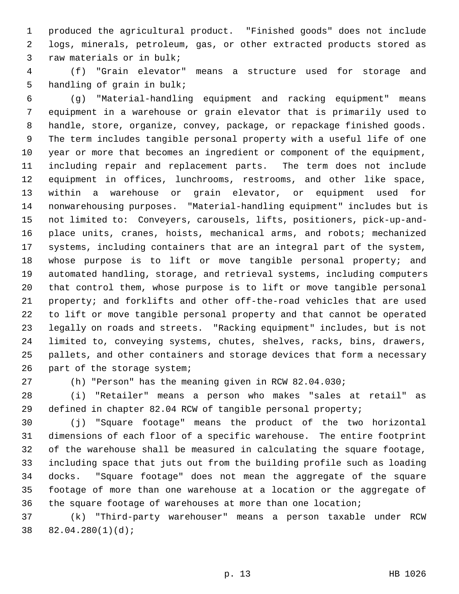1 produced the agricultural product. "Finished goods" does not include 2 logs, minerals, petroleum, gas, or other extracted products stored as 3 raw materials or in bulk;

 4 (f) "Grain elevator" means a structure used for storage and 5 handling of grain in bulk;

 6 (g) "Material-handling equipment and racking equipment" means 7 equipment in a warehouse or grain elevator that is primarily used to 8 handle, store, organize, convey, package, or repackage finished goods. 9 The term includes tangible personal property with a useful life of one 10 year or more that becomes an ingredient or component of the equipment, 11 including repair and replacement parts. The term does not include 12 equipment in offices, lunchrooms, restrooms, and other like space, 13 within a warehouse or grain elevator, or equipment used for 14 nonwarehousing purposes. "Material-handling equipment" includes but is 15 not limited to: Conveyers, carousels, lifts, positioners, pick-up-and-16 place units, cranes, hoists, mechanical arms, and robots; mechanized 17 systems, including containers that are an integral part of the system, 18 whose purpose is to lift or move tangible personal property; and 19 automated handling, storage, and retrieval systems, including computers 20 that control them, whose purpose is to lift or move tangible personal 21 property; and forklifts and other off-the-road vehicles that are used 22 to lift or move tangible personal property and that cannot be operated 23 legally on roads and streets. "Racking equipment" includes, but is not 24 limited to, conveying systems, chutes, shelves, racks, bins, drawers, 25 pallets, and other containers and storage devices that form a necessary 26 part of the storage system;

27 (h) "Person" has the meaning given in RCW 82.04.030;

28 (i) "Retailer" means a person who makes "sales at retail" as 29 defined in chapter 82.04 RCW of tangible personal property;

30 (j) "Square footage" means the product of the two horizontal 31 dimensions of each floor of a specific warehouse. The entire footprint 32 of the warehouse shall be measured in calculating the square footage, 33 including space that juts out from the building profile such as loading 34 docks. "Square footage" does not mean the aggregate of the square 35 footage of more than one warehouse at a location or the aggregate of 36 the square footage of warehouses at more than one location;

37 (k) "Third-party warehouser" means a person taxable under RCW 38 82.04.280(1)(d);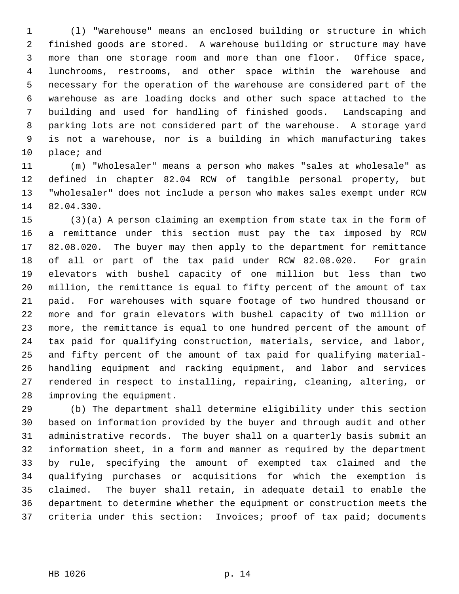1 (l) "Warehouse" means an enclosed building or structure in which 2 finished goods are stored. A warehouse building or structure may have 3 more than one storage room and more than one floor. Office space, 4 lunchrooms, restrooms, and other space within the warehouse and 5 necessary for the operation of the warehouse are considered part of the 6 warehouse as are loading docks and other such space attached to the 7 building and used for handling of finished goods. Landscaping and 8 parking lots are not considered part of the warehouse. A storage yard 9 is not a warehouse, nor is a building in which manufacturing takes 10 place; and

11 (m) "Wholesaler" means a person who makes "sales at wholesale" as 12 defined in chapter 82.04 RCW of tangible personal property, but 13 "wholesaler" does not include a person who makes sales exempt under RCW 14 82.04.330.

15 (3)(a) A person claiming an exemption from state tax in the form of 16 a remittance under this section must pay the tax imposed by RCW 17 82.08.020. The buyer may then apply to the department for remittance 18 of all or part of the tax paid under RCW 82.08.020. For grain 19 elevators with bushel capacity of one million but less than two 20 million, the remittance is equal to fifty percent of the amount of tax 21 paid. For warehouses with square footage of two hundred thousand or 22 more and for grain elevators with bushel capacity of two million or 23 more, the remittance is equal to one hundred percent of the amount of 24 tax paid for qualifying construction, materials, service, and labor, 25 and fifty percent of the amount of tax paid for qualifying material-26 handling equipment and racking equipment, and labor and services 27 rendered in respect to installing, repairing, cleaning, altering, or 28 improving the equipment.

29 (b) The department shall determine eligibility under this section 30 based on information provided by the buyer and through audit and other 31 administrative records. The buyer shall on a quarterly basis submit an 32 information sheet, in a form and manner as required by the department 33 by rule, specifying the amount of exempted tax claimed and the 34 qualifying purchases or acquisitions for which the exemption is 35 claimed. The buyer shall retain, in adequate detail to enable the 36 department to determine whether the equipment or construction meets the 37 criteria under this section: Invoices; proof of tax paid; documents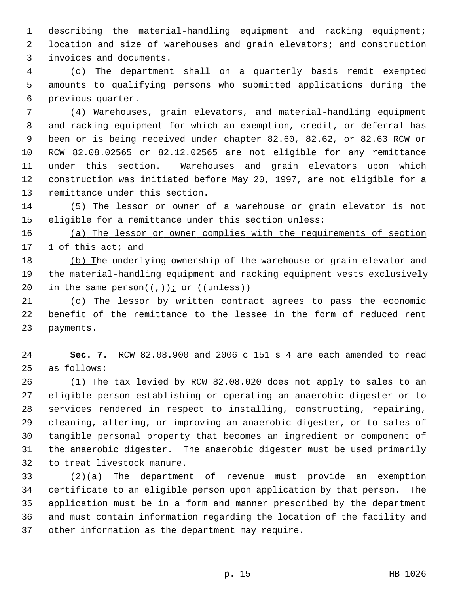1 describing the material-handling equipment and racking equipment; 2 location and size of warehouses and grain elevators; and construction 3 invoices and documents.

 4 (c) The department shall on a quarterly basis remit exempted 5 amounts to qualifying persons who submitted applications during the 6 previous quarter.

 7 (4) Warehouses, grain elevators, and material-handling equipment 8 and racking equipment for which an exemption, credit, or deferral has 9 been or is being received under chapter 82.60, 82.62, or 82.63 RCW or 10 RCW 82.08.02565 or 82.12.02565 are not eligible for any remittance 11 under this section. Warehouses and grain elevators upon which 12 construction was initiated before May 20, 1997, are not eligible for a 13 remittance under this section.

14 (5) The lessor or owner of a warehouse or grain elevator is not 15 eligible for a remittance under this section unless:

16 (a) The lessor or owner complies with the requirements of section 17 1 of this act; and

18 (b) The underlying ownership of the warehouse or grain elevator and 19 the material-handling equipment and racking equipment vests exclusively 20 in the same person $((-))$  j or  $((\text{unless}))$ 

21 (c) The lessor by written contract agrees to pass the economic 22 benefit of the remittance to the lessee in the form of reduced rent 23 payments.

24 **Sec. 7.** RCW 82.08.900 and 2006 c 151 s 4 are each amended to read 25 as follows:

26 (1) The tax levied by RCW 82.08.020 does not apply to sales to an 27 eligible person establishing or operating an anaerobic digester or to 28 services rendered in respect to installing, constructing, repairing, 29 cleaning, altering, or improving an anaerobic digester, or to sales of 30 tangible personal property that becomes an ingredient or component of 31 the anaerobic digester. The anaerobic digester must be used primarily 32 to treat livestock manure.

33 (2)(a) The department of revenue must provide an exemption 34 certificate to an eligible person upon application by that person. The 35 application must be in a form and manner prescribed by the department 36 and must contain information regarding the location of the facility and 37 other information as the department may require.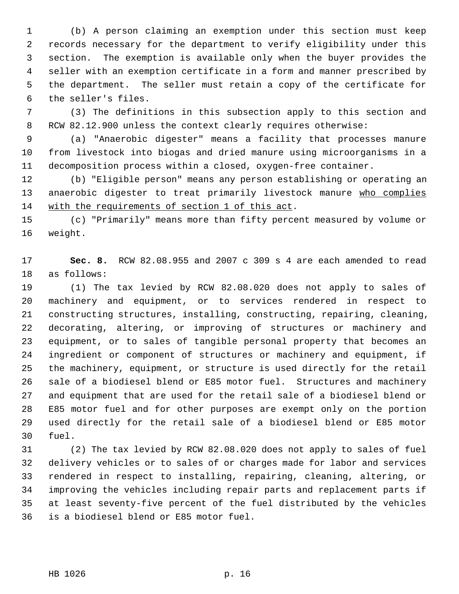1 (b) A person claiming an exemption under this section must keep 2 records necessary for the department to verify eligibility under this 3 section. The exemption is available only when the buyer provides the 4 seller with an exemption certificate in a form and manner prescribed by 5 the department. The seller must retain a copy of the certificate for 6 the seller's files.

 7 (3) The definitions in this subsection apply to this section and 8 RCW 82.12.900 unless the context clearly requires otherwise:

 9 (a) "Anaerobic digester" means a facility that processes manure 10 from livestock into biogas and dried manure using microorganisms in a 11 decomposition process within a closed, oxygen-free container.

12 (b) "Eligible person" means any person establishing or operating an 13 anaerobic digester to treat primarily livestock manure who complies 14 with the requirements of section 1 of this act.

15 (c) "Primarily" means more than fifty percent measured by volume or 16 weight.

17 **Sec. 8.** RCW 82.08.955 and 2007 c 309 s 4 are each amended to read 18 as follows:

19 (1) The tax levied by RCW 82.08.020 does not apply to sales of 20 machinery and equipment, or to services rendered in respect to 21 constructing structures, installing, constructing, repairing, cleaning, 22 decorating, altering, or improving of structures or machinery and 23 equipment, or to sales of tangible personal property that becomes an 24 ingredient or component of structures or machinery and equipment, if 25 the machinery, equipment, or structure is used directly for the retail 26 sale of a biodiesel blend or E85 motor fuel. Structures and machinery 27 and equipment that are used for the retail sale of a biodiesel blend or 28 E85 motor fuel and for other purposes are exempt only on the portion 29 used directly for the retail sale of a biodiesel blend or E85 motor 30 fuel.

31 (2) The tax levied by RCW 82.08.020 does not apply to sales of fuel 32 delivery vehicles or to sales of or charges made for labor and services 33 rendered in respect to installing, repairing, cleaning, altering, or 34 improving the vehicles including repair parts and replacement parts if 35 at least seventy-five percent of the fuel distributed by the vehicles 36 is a biodiesel blend or E85 motor fuel.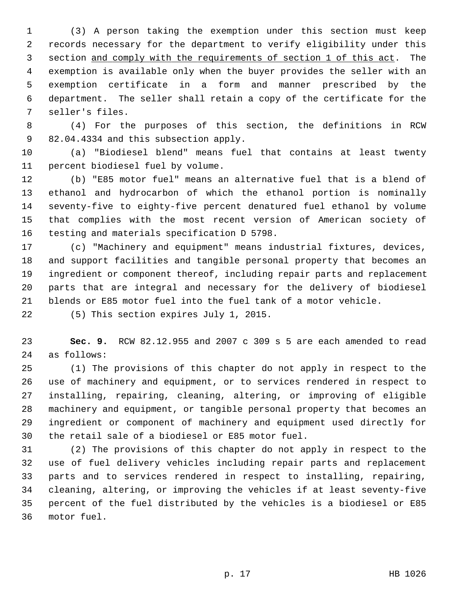1 (3) A person taking the exemption under this section must keep 2 records necessary for the department to verify eligibility under this 3 section and comply with the requirements of section 1 of this act. The 4 exemption is available only when the buyer provides the seller with an 5 exemption certificate in a form and manner prescribed by the 6 department. The seller shall retain a copy of the certificate for the 7 seller's files.

 8 (4) For the purposes of this section, the definitions in RCW 9 82.04.4334 and this subsection apply.

10 (a) "Biodiesel blend" means fuel that contains at least twenty 11 percent biodiesel fuel by volume.

12 (b) "E85 motor fuel" means an alternative fuel that is a blend of 13 ethanol and hydrocarbon of which the ethanol portion is nominally 14 seventy-five to eighty-five percent denatured fuel ethanol by volume 15 that complies with the most recent version of American society of 16 testing and materials specification D 5798.

17 (c) "Machinery and equipment" means industrial fixtures, devices, 18 and support facilities and tangible personal property that becomes an 19 ingredient or component thereof, including repair parts and replacement 20 parts that are integral and necessary for the delivery of biodiesel 21 blends or E85 motor fuel into the fuel tank of a motor vehicle.

22 (5) This section expires July 1, 2015.

23 **Sec. 9.** RCW 82.12.955 and 2007 c 309 s 5 are each amended to read 24 as follows:

25 (1) The provisions of this chapter do not apply in respect to the 26 use of machinery and equipment, or to services rendered in respect to 27 installing, repairing, cleaning, altering, or improving of eligible 28 machinery and equipment, or tangible personal property that becomes an 29 ingredient or component of machinery and equipment used directly for 30 the retail sale of a biodiesel or E85 motor fuel.

31 (2) The provisions of this chapter do not apply in respect to the 32 use of fuel delivery vehicles including repair parts and replacement 33 parts and to services rendered in respect to installing, repairing, 34 cleaning, altering, or improving the vehicles if at least seventy-five 35 percent of the fuel distributed by the vehicles is a biodiesel or E85 36 motor fuel.